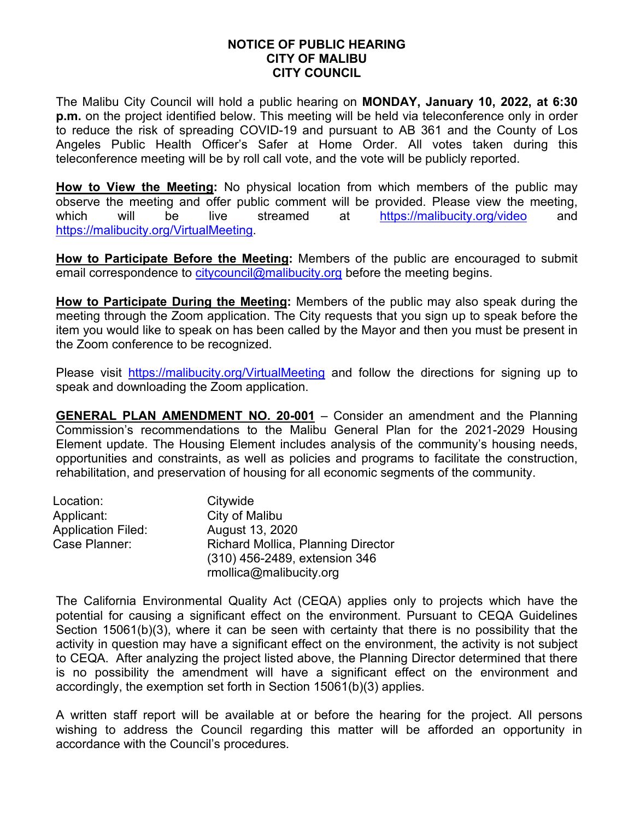## **NOTICE OF PUBLIC HEARING CITY OF MALIBU CITY COUNCIL**

The Malibu City Council will hold a public hearing on **MONDAY, January 10, 2022, at 6:30 p.m.** on the project identified below. This meeting will be held via teleconference only in order to reduce the risk of spreading COVID-19 and pursuant to AB 361 and the County of Los Angeles Public Health Officer's Safer at Home Order. All votes taken during this teleconference meeting will be by roll call vote, and the vote will be publicly reported.

**How to View the Meeting:** No physical location from which members of the public may observe the meeting and offer public comment will be provided. Please view the meeting, which will be live streamed at <https://malibucity.org/video> and [https://malibucity.org/VirtualMeeting.](https://malibucity.org/VirtualMeeting)

**How to Participate Before the Meeting:** Members of the public are encouraged to submit email correspondence to [citycouncil@malibucity.org](mailto:citycouncil@malibucity.org) before the meeting begins.

**How to Participate During the Meeting:** Members of the public may also speak during the meeting through the Zoom application. The City requests that you sign up to speak before the item you would like to speak on has been called by the Mayor and then you must be present in the Zoom conference to be recognized.

Please visit <https://malibucity.org/VirtualMeeting> and follow the directions for signing up to speak and downloading the Zoom application.

**GENERAL PLAN AMENDMENT NO. 20-001** – Consider an amendment and the Planning Commission's recommendations to the Malibu General Plan for the 2021-2029 Housing Element update. The Housing Element includes analysis of the community's housing needs, opportunities and constraints, as well as policies and programs to facilitate the construction, rehabilitation, and preservation of housing for all economic segments of the community.

| Location:          | Citywide                                  |
|--------------------|-------------------------------------------|
| Applicant:         | City of Malibu                            |
| Application Filed: | August 13, 2020                           |
| Case Planner:      | <b>Richard Mollica, Planning Director</b> |
|                    | (310) 456-2489, extension 346             |
|                    | rmollica@malibucity.org                   |

The California Environmental Quality Act (CEQA) applies only to projects which have the potential for causing a significant effect on the environment. Pursuant to CEQA Guidelines Section 15061(b)(3), where it can be seen with certainty that there is no possibility that the activity in question may have a significant effect on the environment, the activity is not subject to CEQA. After analyzing the project listed above, the Planning Director determined that there is no possibility the amendment will have a significant effect on the environment and accordingly, the exemption set forth in Section 15061(b)(3) applies.

A written staff report will be available at or before the hearing for the project. All persons wishing to address the Council regarding this matter will be afforded an opportunity in accordance with the Council's procedures.